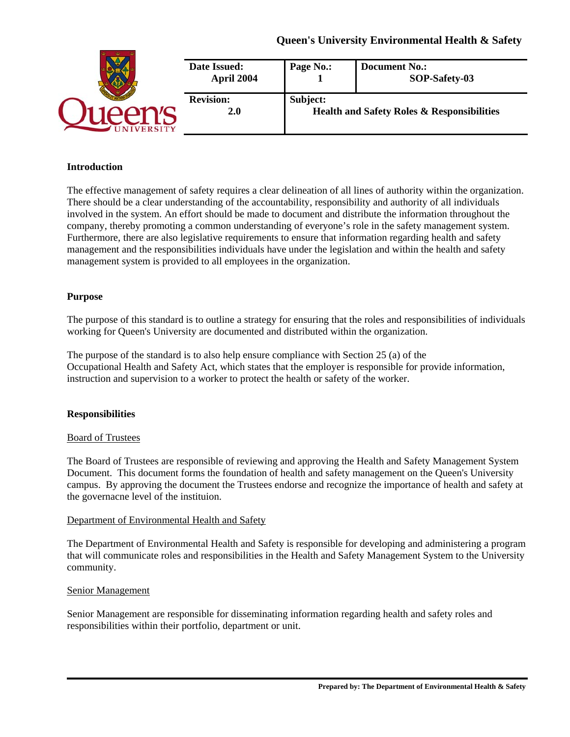# **Queen's University Environmental Health & Safety**

| Date Issued:<br>April 2004     | Page No.:                                                         | <b>Document No.:</b><br>SOP-Safety-03 |
|--------------------------------|-------------------------------------------------------------------|---------------------------------------|
| <b>Revision:</b><br><b>2.0</b> | Subject:<br><b>Health and Safety Roles &amp; Responsibilities</b> |                                       |

## **Introduction**

The effective management of safety requires a clear delineation of all lines of authority within the organization. There should be a clear understanding of the accountability, responsibility and authority of all individuals involved in the system. An effort should be made to document and distribute the information throughout the company, thereby promoting a common understanding of everyone's role in the safety management system. Furthermore, there are also legislative requirements to ensure that information regarding health and safety management and the responsibilities individuals have under the legislation and within the health and safety management system is provided to all employees in the organization.

## **Purpose**

The purpose of this standard is to outline a strategy for ensuring that the roles and responsibilities of individuals working for Queen's University are documented and distributed within the organization.

The purpose of the standard is to also help ensure compliance with Section 25 (a) of the Occupational Health and Safety Act, which states that the employer is responsible for provide information, instruction and supervision to a worker to protect the health or safety of the worker.

### **Responsibilities**

### Board of Trustees

The Board of Trustees are responsible of reviewing and approving the Health and Safety Management System Document. This document forms the foundation of health and safety management on the Queen's University campus. By approving the document the Trustees endorse and recognize the importance of health and safety at the governacne level of the instituion.

### Department of Environmental Health and Safety

The Department of Environmental Health and Safety is responsible for developing and administering a program that will communicate roles and responsibilities in the Health and Safety Management System to the University community.

### Senior Management

Senior Management are responsible for disseminating information regarding health and safety roles and responsibilities within their portfolio, department or unit.